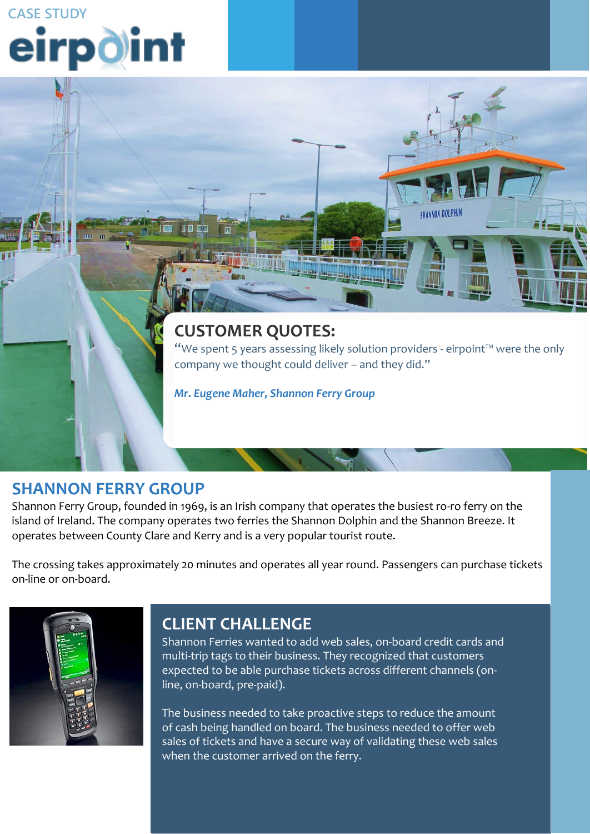**CASE STUDY**<br>**eirpolint** 

## **CUSTOMER QUOTES:**

"We spent 5 years assessing likely solution providers - eirpoint™ were the only company we thought could deliver – and they did."

**SHANNON DOLPHIN** 

*Mr. Eugene Maher, Shannon Ferry Group*

#### **SHANNON FERRY GROUP**

**CLIENT CHALLENGE** Shannon Ferry Group, founded in 1969, is an Irish company that operates the busiest ro-ro ferry on the island of Ireland. The company operates two ferries the Shannon Dolphin and the Shannon Breeze. It operates between County Clare and Kerry and is a very popular tourist route. service and support provider that would have the knowledge and expertise

The crossing takes approximately 20 minutes and operates all year round. Passengers can purchase tickets based on best practice retail operations. on-line or on-board.



#### **ORDERING AND STOCK CONTROL. STOCK ORDERING IS THE IMPORTANT LINK THAT EXISTS IS THE IMPORTANT LINK THAT EXISTS** between the retailer and Musgrave; it is the initiation of a transaction within

Shannon Ferries wanted to add web sales, on-board credit cards and multi-trip tags to their business. They recognized that customers expected to be able purchase tickets across different channels (on-<br>... line, on-board, pre-paid).

They wished to mobilise two key aspects of in-store retail operations, stock

The business needed to take proactive steps to reduce the amount of cash being handled on board. The business needed to offer web sales of tickets and have a secure way of validating these web sales when the customer arrived on the ferry.